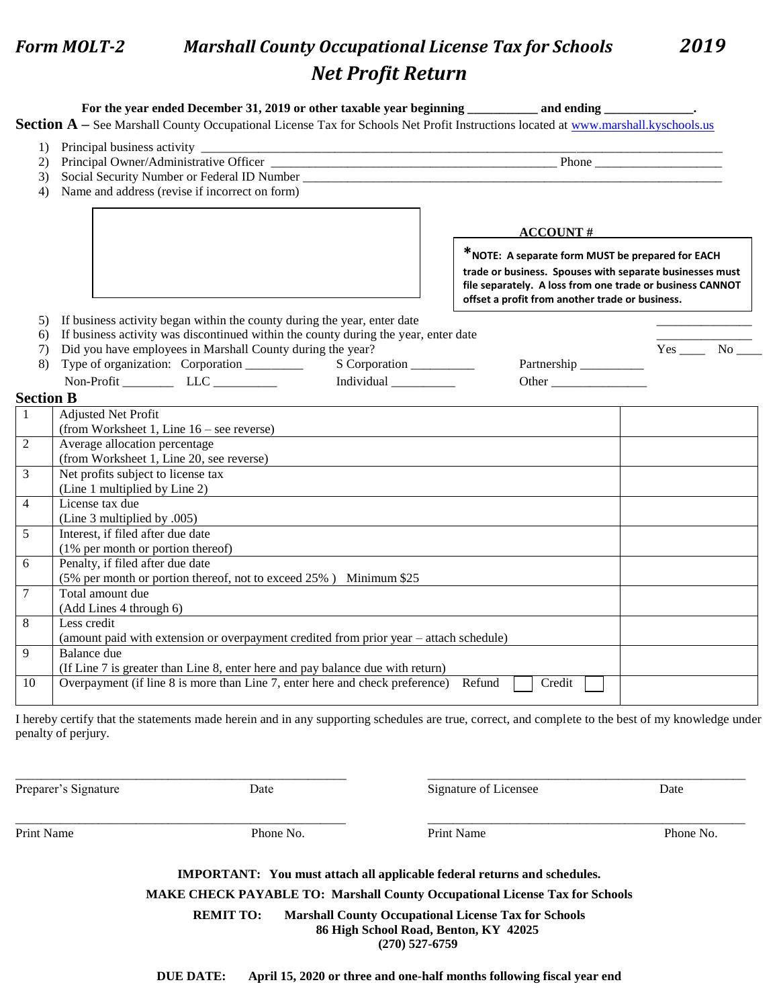## *Form MOLT-2 Marshall County Occupational License Tax for Schools 2019 Net Profit Return*

| 1)       |                                                                                                       |                                                                                                              |          |  |  |
|----------|-------------------------------------------------------------------------------------------------------|--------------------------------------------------------------------------------------------------------------|----------|--|--|
| 2)       |                                                                                                       |                                                                                                              |          |  |  |
| 3)       | Name and address (revise if incorrect on form)                                                        |                                                                                                              |          |  |  |
| 4)       |                                                                                                       |                                                                                                              |          |  |  |
|          |                                                                                                       |                                                                                                              |          |  |  |
|          |                                                                                                       | <b>ACCOUNT#</b>                                                                                              |          |  |  |
|          |                                                                                                       | *NOTE: A separate form MUST be prepared for EACH                                                             |          |  |  |
|          |                                                                                                       |                                                                                                              |          |  |  |
|          |                                                                                                       | trade or business. Spouses with separate businesses must                                                     |          |  |  |
|          |                                                                                                       | file separately. A loss from one trade or business CANNOT<br>offset a profit from another trade or business. |          |  |  |
|          |                                                                                                       |                                                                                                              |          |  |  |
| 5)       | If business activity began within the county during the year, enter date                              |                                                                                                              |          |  |  |
| 6)       | If business activity was discontinued within the county during the year, enter date                   |                                                                                                              | $Yes$ No |  |  |
| 7)<br>8) | Did you have employees in Marshall County during the year?<br>S Corporation                           | Partnership ___________                                                                                      |          |  |  |
|          | Type of organization: Corporation _______                                                             |                                                                                                              |          |  |  |
|          | Non-Profit ____________ LLC __________<br>Individual $\_\_\_\_\_\_\_\_\_\_\_\_\_\_\$                  | Other                                                                                                        |          |  |  |
|          | <b>Section B</b>                                                                                      |                                                                                                              |          |  |  |
|          | <b>Adjusted Net Profit</b>                                                                            |                                                                                                              |          |  |  |
|          | (from Worksheet 1, Line $16$ – see reverse)                                                           |                                                                                                              |          |  |  |
|          | Average allocation percentage                                                                         |                                                                                                              |          |  |  |
|          | (from Worksheet 1, Line 20, see reverse)                                                              |                                                                                                              |          |  |  |
|          | Net profits subject to license tax                                                                    |                                                                                                              |          |  |  |
|          | (Line 1 multiplied by Line 2)                                                                         |                                                                                                              |          |  |  |
|          | License tax due                                                                                       |                                                                                                              |          |  |  |
|          | (Line 3 multiplied by .005)                                                                           |                                                                                                              |          |  |  |
|          | Interest, if filed after due date                                                                     |                                                                                                              |          |  |  |
|          | (1% per month or portion thereof)                                                                     |                                                                                                              |          |  |  |
|          | Penalty, if filed after due date<br>(5% per month or portion thereof, not to exceed 25%) Minimum \$25 |                                                                                                              |          |  |  |
|          | Total amount due                                                                                      |                                                                                                              |          |  |  |
|          | (Add Lines 4 through 6)                                                                               |                                                                                                              |          |  |  |
|          | Less credit                                                                                           |                                                                                                              |          |  |  |
|          | (amount paid with extension or overpayment credited from prior year – attach schedule)                |                                                                                                              |          |  |  |
|          | Balance due                                                                                           |                                                                                                              |          |  |  |
|          | (If Line 7 is greater than Line 8, enter here and pay balance due with return)                        |                                                                                                              |          |  |  |
|          | Overpayment (if line 8 is more than Line 7, enter here and check preference) Refund                   | Credit                                                                                                       |          |  |  |
|          |                                                                                                       |                                                                                                              |          |  |  |

Preparer's Signature Date Date Date Signature of Licensee Date

Print Name Phone No. Print Name Phone No. Print Name Phone No. Print Name Phone No.

**IMPORTANT: You must attach all applicable federal returns and schedules.**

\_\_\_\_\_\_\_\_\_\_\_\_\_\_\_\_\_\_\_\_\_\_\_\_\_\_\_\_\_\_\_\_\_\_\_\_\_\_\_\_\_\_\_\_\_\_\_\_\_\_\_\_ \_\_\_\_\_\_\_\_\_\_\_\_\_\_\_\_\_\_\_\_\_\_\_\_\_\_\_\_\_\_\_\_\_\_\_\_\_\_\_\_\_\_\_\_\_\_\_\_\_\_

\_\_\_\_\_\_\_\_\_\_\_\_\_\_\_\_\_\_\_\_\_\_\_\_\_\_\_\_\_\_\_\_\_\_\_\_\_\_\_\_\_\_\_\_\_\_\_\_\_\_\_\_ \_\_\_\_\_\_\_\_\_\_\_\_\_\_\_\_\_\_\_\_\_\_\_\_\_\_\_\_\_\_\_\_\_\_\_\_\_\_\_\_\_\_\_\_\_\_\_\_\_\_

**MAKE CHECK PAYABLE TO: Marshall County Occupational License Tax for Schools**

**REMIT TO: Marshall County Occupational License Tax for Schools 86 High School Road, Benton, KY 42025**

 **(270) 527-6759**

**DUE DATE: April 15, 2020 or three and one-half months following fiscal year end**